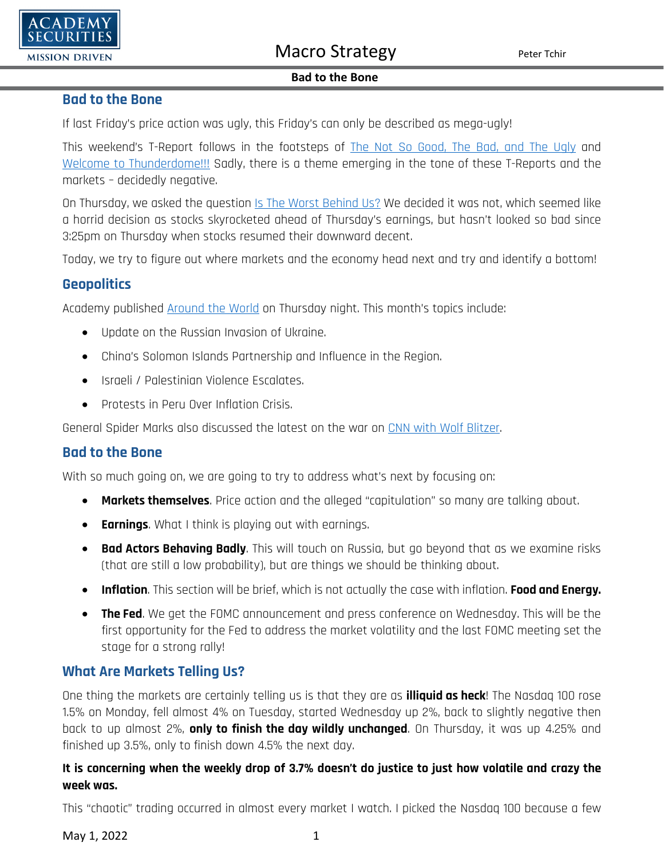

#### **Bad to the Bone**

### **Bad to the Bone**

If last Friday's price action was ugly, this Friday's can only be described as mega-ugly!

This weekend's T-Report follows in the footsteps of [The Not So Good, The Bad,](https://www.academysecurities.com/wordpress/wp-content/uploads/2022/04/The-Not-So-Good-The-Bad-and-the-Ugly-1.pdf) and The Ugly and [Welcome to Thunderdome!!!](https://www.academysecurities.com/wordpress/wp-content/uploads/2022/04/Welcome-to-Thunderdome-1.pdf) Sadly, there is a theme emerging in the tone of these T-Reports and the markets – decidedly negative.

On Thursday, we asked the question [Is The Worst Behind Us?](https://www.academysecurities.com/wordpress/wp-content/uploads/2022/04/Is-the-Worst-Behind-Us.pdf) We decided it was not, which seemed like a horrid decision as stocks skyrocketed ahead of Thursday's earnings, but hasn't looked so bad since 3:25pm on Thursday when stocks resumed their downward decent.

Today, we try to figure out where markets and the economy head next and try and identify a bottom!

## **Geopolitics**

Academy published [Around the World](https://www.academysecurities.com/wordpress/wp-content/uploads/2022/04/Around-the-World-with-Academy-Securities_4_28_22-1.pdf) on Thursday night. This month's topics include:

- Update on the Russian Invasion of Ukraine.
- China's Solomon Islands Partnership and Influence in the Region.
- Israeli / Palestinian Violence Escalates.
- Protests in Peru Over Inflation Crisis.

General Spider Marks also discussed the latest on the war on [CNN with Wolf Blitzer.](https://www.youtube.com/watch?v=x5Xk2Gff21s)

## **Bad to the Bone**

With so much going on, we are going to try to address what's next by focusing on:

- **Markets themselves**. Price action and the alleged "capitulation" so many are talking about.
- **Earnings**. What I think is playing out with earnings.
- **Bad Actors Behaving Badly**. This will touch on Russia, but go beyond that as we examine risks (that are still a low probability), but are things we should be thinking about.
- **Inflation**. This section will be brief, which is not actually the case with inflation. **Food and Energy.**
- **The Fed**. We get the FOMC announcement and press conference on Wednesday. This will be the first opportunity for the Fed to address the market volatility and the last FOMC meeting set the stage for a strong rally!

## **What Are Markets Telling Us?**

One thing the markets are certainly telling us is that they are as **illiquid as heck**! The Nasdaq 100 rose 1.5% on Monday, fell almost 4% on Tuesday, started Wednesday up 2%, back to slightly negative then back to up almost 2%, **only to finish the day wildly unchanged**. On Thursday, it was up 4.25% and finished up 3.5%, only to finish down 4.5% the next day.

### **It is concerning when the weekly drop of 3.7% doesn't do justice to just how volatile and crazy the week was.**

This "chaotic" trading occurred in almost every market I watch. I picked the Nasdaq 100 because a few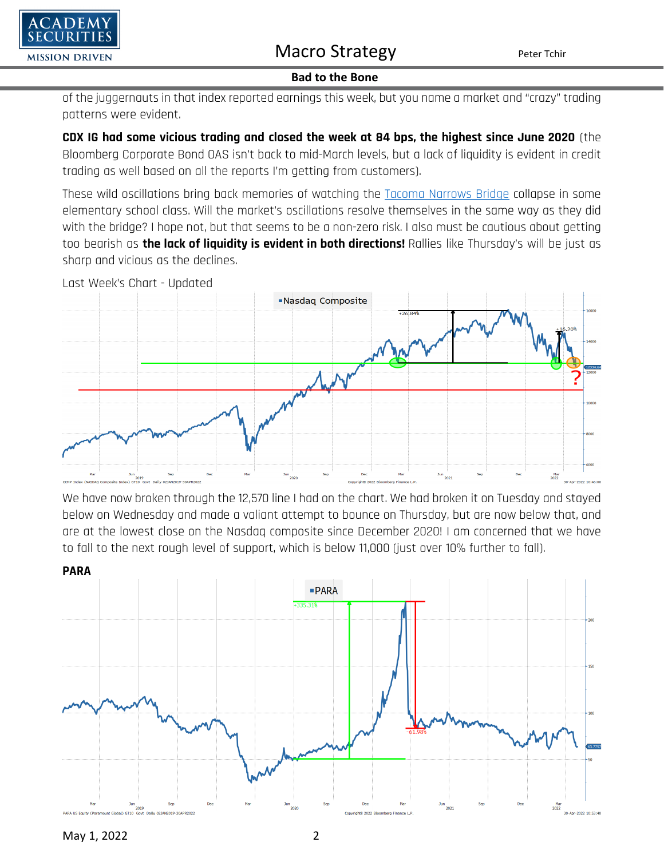

#### **Bad to the Bone**

of the juggernauts in that index reported earnings this week, but you name a market and "crazy" trading patterns were evident.

**CDX IG had some vicious trading and closed the week at 84 bps, the highest since June 2020** (the Bloomberg Corporate Bond OAS isn't back to mid-March levels, but a lack of liquidity is evident in credit trading as well based on all the reports I'm getting from customers).

These wild oscillations bring back memories of watching the [Tacoma Narrows Bridge](https://en.wikipedia.org/wiki/Tacoma_Narrows_Bridge) collapse in some elementary school class. Will the market's oscillations resolve themselves in the same way as they did with the bridge? I hope not, but that seems to be a non-zero risk. I also must be cautious about getting too bearish as **the lack of liquidity is evident in both directions!** Rallies like Thursday's will be just as sharp and vicious as the declines.



We have now broken through the 12,570 line I had on the chart. We had broken it on Tuesday and stayed below on Wednesday and made a valiant attempt to bounce on Thursday, but are now below that, and are at the lowest close on the Nasdaq composite since December 2020! I am concerned that we have to fall to the next rough level of support, which is below 11,000 (just over 10% further to fall).



May 1, 2022 2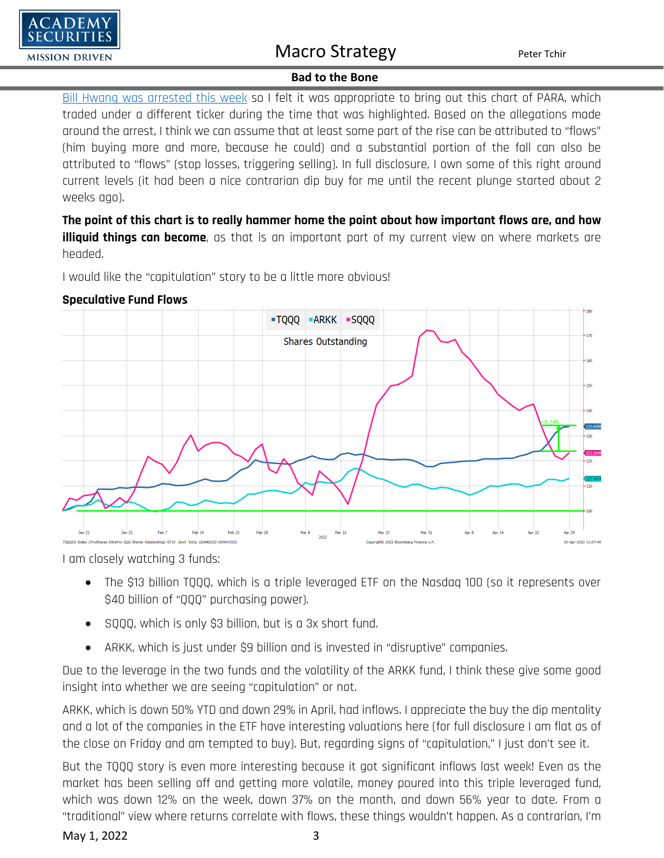

#### **Bad to the Bone**

[Bill Hwang was arrested this week](https://www.msn.com/en-us/money/companies/sec-arrests-archegos-founder-on-billion-dollar-fraud-charges/ar-AAWFfU0?ocid=uxbndlbing) so I felt it was appropriate to bring out this chart of PARA, which traded under a different ticker during the time that was highlighted. Based on the allegations made around the arrest, I think we can assume that at least some part of the rise can be attributed to "flows" (him buying more and more, because he could) and a substantial portion of the fall can also be attributed to "flows" (stop losses, triggering selling). In full disclosure, I own some of this right around current levels (it had been a nice contrarian dip buy for me until the recent plunge started about 2 weeks ago).

**The point of this chart is to really hammer home the point about how important flows are, and how illiquid things can become**, as that is an important part of my current view on where markets are headed.

I would like the "capitulation" story to be a little more obvious!



#### **Speculative Fund Flows**

I am closely watching 3 funds:

- The \$13 billion TQQQ, which is a triple leveraged ETF on the Nasdaq 100 (so it represents over \$40 billion of "QQQ" purchasing power).
- SQQQ, which is only \$3 billion, but is a 3x short fund.
- ARKK, which is just under \$9 billion and is invested in "disruptive" companies.

Due to the leverage in the two funds and the volatility of the ARKK fund, I think these give some good insight into whether we are seeing "capitulation" or not.

ARKK, which is down 50% YTD and down 29% in April, had inflows. I appreciate the buy the dip mentality and a lot of the companies in the ETF have interesting valuations here (for full disclosure I am flat as of the close on Friday and am tempted to buy). But, regarding signs of "capitulation," I just don't see it.

But the TQQQ story is even more interesting because it got significant inflows last week! Even as the market has been selling off and getting more volatile, money poured into this triple leveraged fund, which was down 12% on the week, down 37% on the month, and down 56% year to date. From a "traditional" view where returns correlate with flows, these things wouldn't happen. As a contrarian, I'm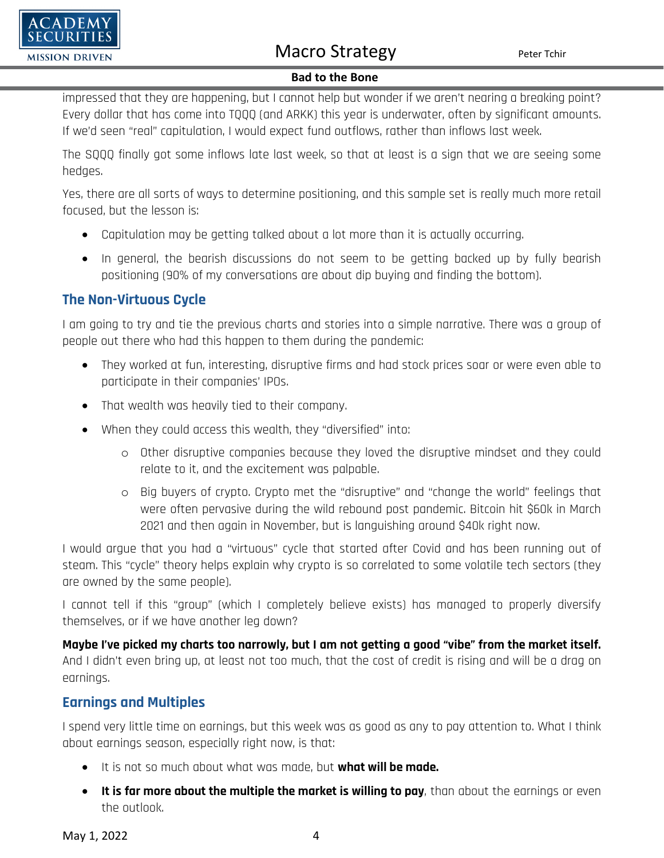

#### **Bad to the Bone**

impressed that they are happening, but I cannot help but wonder if we aren't nearing a breaking point? Every dollar that has come into TQQQ (and ARKK) this year is underwater, often by significant amounts. If we'd seen "real" capitulation, I would expect fund outflows, rather than inflows last week.

The SQQQ finally got some inflows late last week, so that at least is a sign that we are seeing some hedges.

Yes, there are all sorts of ways to determine positioning, and this sample set is really much more retail focused, but the lesson is:

- Capitulation may be getting talked about a lot more than it is actually occurring.
- In general, the bearish discussions do not seem to be getting backed up by fully bearish positioning (90% of my conversations are about dip buying and finding the bottom).

## **The Non-Virtuous Cycle**

I am going to try and tie the previous charts and stories into a simple narrative. There was a group of people out there who had this happen to them during the pandemic:

- They worked at fun, interesting, disruptive firms and had stock prices soar or were even able to participate in their companies' IPOs.
- That wealth was heavily tied to their company.
- When they could access this wealth, they "diversified" into:
	- o Other disruptive companies because they loved the disruptive mindset and they could relate to it, and the excitement was palpable.
	- o Big buyers of crypto. Crypto met the "disruptive" and "change the world" feelings that were often pervasive during the wild rebound post pandemic. Bitcoin hit \$60k in March 2021 and then again in November, but is languishing around \$40k right now.

I would argue that you had a "virtuous" cycle that started after Covid and has been running out of steam. This "cycle" theory helps explain why crypto is so correlated to some volatile tech sectors (they are owned by the same people).

I cannot tell if this "group" (which I completely believe exists) has managed to properly diversify themselves, or if we have another leg down?

**Maybe I've picked my charts too narrowly, but I am not getting a good "vibe" from the market itself.**  And I didn't even bring up, at least not too much, that the cost of credit is rising and will be a drag on earnings.

### **Earnings and Multiples**

I spend very little time on earnings, but this week was as good as any to pay attention to. What I think about earnings season, especially right now, is that:

- It is not so much about what was made, but **what will be made.**
- **It is far more about the multiple the market is willing to pay**, than about the earnings or even the outlook.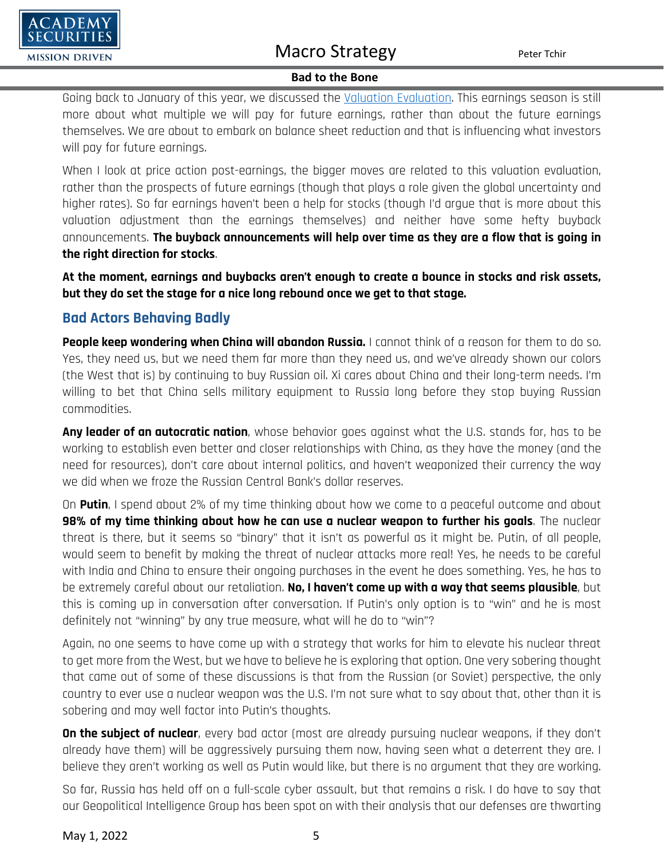

#### **Bad to the Bone**

Going back to January of this year, we discussed the [Valuation Evaluation.](https://www.academysecurities.com/wordpress/wp-content/uploads/2022/01/The-Year-Changed-Again.pdf) This earnings season is still more about what multiple we will pay for future earnings, rather than about the future earnings themselves. We are about to embark on balance sheet reduction and that is influencing what investors will pay for future earnings.

When I look at price action post-earnings, the bigger moves are related to this valuation evaluation, rather than the prospects of future earnings (though that plays a role given the global uncertainty and higher rates). So far earnings haven't been a help for stocks (though I'd argue that is more about this valuation adjustment than the earnings themselves) and neither have some hefty buyback announcements. **The buyback announcements will help over time as they are a flow that is going in the right direction for stocks**.

**At the moment, earnings and buybacks aren't enough to create a bounce in stocks and risk assets, but they do set the stage for a nice long rebound once we get to that stage.**

## **Bad Actors Behaving Badly**

**People keep wondering when China will abandon Russia.** I cannot think of a reason for them to do so. Yes, they need us, but we need them far more than they need us, and we've already shown our colors (the West that is) by continuing to buy Russian oil. Xi cares about China and their long-term needs. I'm willing to bet that China sells military equipment to Russia long before they stop buying Russian commodities.

**Any leader of an autocratic nation**, whose behavior goes against what the U.S. stands for, has to be working to establish even better and closer relationships with China, as they have the money (and the need for resources), don't care about internal politics, and haven't weaponized their currency the way we did when we froze the Russian Central Bank's dollar reserves.

On **Putin**, I spend about 2% of my time thinking about how we come to a peaceful outcome and about **98% of my time thinking about how he can use a nuclear weapon to further his goals**. The nuclear threat is there, but it seems so "binary" that it isn't as powerful as it might be. Putin, of all people, would seem to benefit by making the threat of nuclear attacks more real! Yes, he needs to be careful with India and China to ensure their ongoing purchases in the event he does something. Yes, he has to be extremely careful about our retaliation. **No, I haven't come up with a way that seems plausible**, but this is coming up in conversation after conversation. If Putin's only option is to "win" and he is most definitely not "winning" by any true measure, what will he do to "win"?

Again, no one seems to have come up with a strategy that works for him to elevate his nuclear threat to get more from the West, but we have to believe he is exploring that option. One very sobering thought that came out of some of these discussions is that from the Russian (or Soviet) perspective, the only country to ever use a nuclear weapon was the U.S. I'm not sure what to say about that, other than it is sobering and may well factor into Putin's thoughts.

**On the subject of nuclear**, every bad actor (most are already pursuing nuclear weapons, if they don't already have them) will be aggressively pursuing them now, having seen what a deterrent they are. I believe they aren't working as well as Putin would like, but there is no argument that they are working.

So far, Russia has held off on a full-scale cyber assault, but that remains a risk. I do have to say that our Geopolitical Intelligence Group has been spot on with their analysis that our defenses are thwarting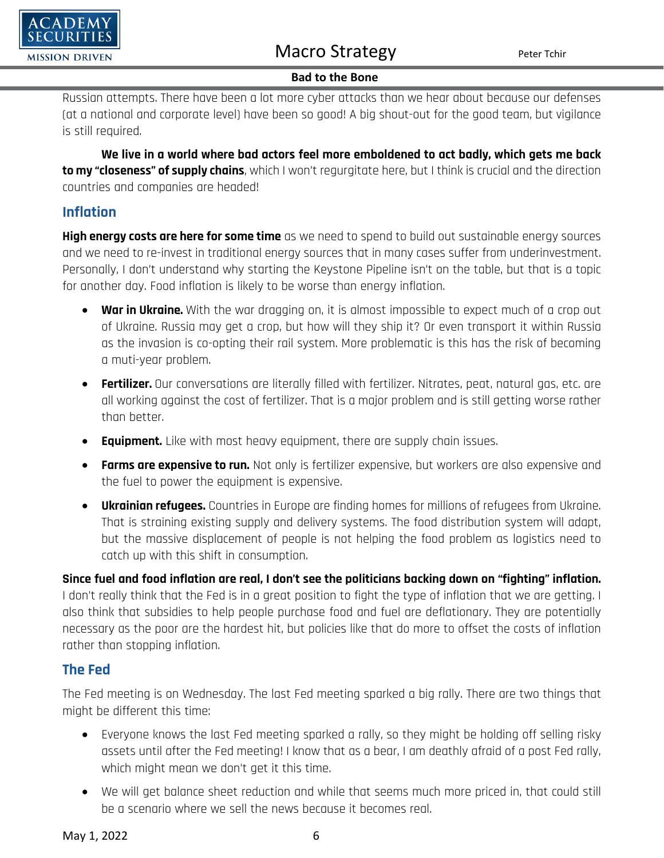

#### **Bad to the Bone**

Russian attempts. There have been a lot more cyber attacks than we hear about because our defenses (at a national and corporate level) have been so good! A big shout-out for the good team, but vigilance is still required.

**We live in a world where bad actors feel more emboldened to act badly, which gets me back to my "closeness" of supply chains**, which I won't regurgitate here, but I think is crucial and the direction countries and companies are headed!

### **Inflation**

**High energy costs are here for some time** as we need to spend to build out sustainable energy sources and we need to re-invest in traditional energy sources that in many cases suffer from underinvestment. Personally, I don't understand why starting the Keystone Pipeline isn't on the table, but that is a topic for another day. Food inflation is likely to be worse than energy inflation.

- **War in Ukraine.** With the war dragging on, it is almost impossible to expect much of a crop out of Ukraine. Russia may get a crop, but how will they ship it? Or even transport it within Russia as the invasion is co-opting their rail system. More problematic is this has the risk of becoming a muti-year problem.
- **Fertilizer.** Our conversations are literally filled with fertilizer. Nitrates, peat, natural gas, etc. are all working against the cost of fertilizer. That is a major problem and is still getting worse rather than better.
- **Equipment.** Like with most heavy equipment, there are supply chain issues.
- **Farms are expensive to run.** Not only is fertilizer expensive, but workers are also expensive and the fuel to power the equipment is expensive.
- **Ukrainian refugees.** Countries in Europe are finding homes for millions of refugees from Ukraine. That is straining existing supply and delivery systems. The food distribution system will adapt, but the massive displacement of people is not helping the food problem as logistics need to catch up with this shift in consumption.

**Since fuel and food inflation are real, I don't see the politicians backing down on "fighting" inflation.**  I don't really think that the Fed is in a great position to fight the type of inflation that we are getting. I also think that subsidies to help people purchase food and fuel are deflationary. They are potentially necessary as the poor are the hardest hit, but policies like that do more to offset the costs of inflation rather than stopping inflation.

### **The Fed**

The Fed meeting is on Wednesday. The last Fed meeting sparked a big rally. There are two things that might be different this time:

- Everyone knows the last Fed meeting sparked a rally, so they might be holding off selling risky assets until after the Fed meeting! I know that as a bear, I am deathly afraid of a post Fed rally, which might mean we don't get it this time.
- We will get balance sheet reduction and while that seems much more priced in, that could still be a scenario where we sell the news because it becomes real.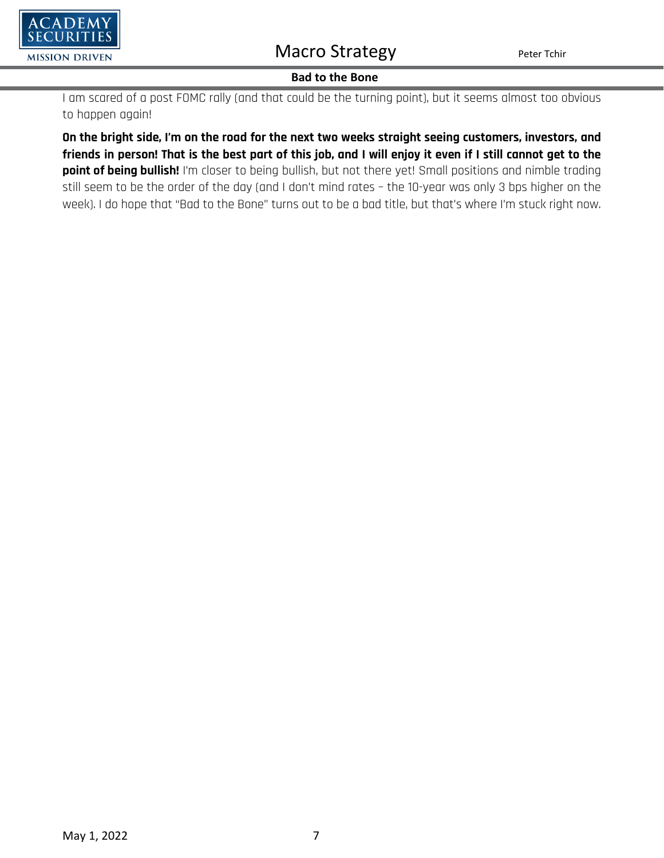

#### **Bad to the Bone**

I am scared of a post FOMC rally (and that could be the turning point), but it seems almost too obvious to happen again!

**On the bright side, I'm on the road for the next two weeks straight seeing customers, investors, and friends in person! That is the best part of this job, and I will enjoy it even if I still cannot get to the point of being bullish!** I'm closer to being bullish, but not there yet! Small positions and nimble trading still seem to be the order of the day (and I don't mind rates – the 10-year was only 3 bps higher on the week). I do hope that "Bad to the Bone" turns out to be a bad title, but that's where I'm stuck right now.